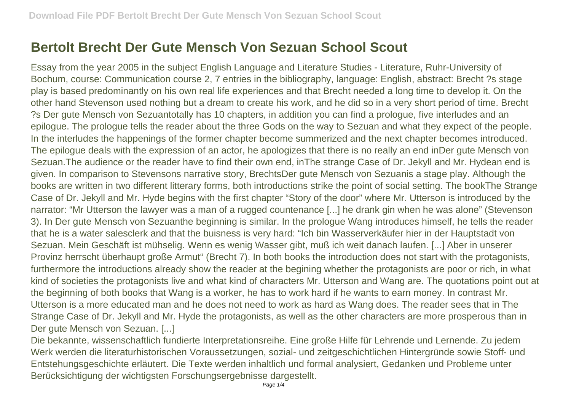## **Bertolt Brecht Der Gute Mensch Von Sezuan School Scout**

Essay from the year 2005 in the subject English Language and Literature Studies - Literature, Ruhr-University of Bochum, course: Communication course 2, 7 entries in the bibliography, language: English, abstract: Brecht ?s stage play is based predominantly on his own real life experiences and that Brecht needed a long time to develop it. On the other hand Stevenson used nothing but a dream to create his work, and he did so in a very short period of time. Brecht ?s Der gute Mensch von Sezuantotally has 10 chapters, in addition you can find a prologue, five interludes and an epilogue. The prologue tells the reader about the three Gods on the way to Sezuan and what they expect of the people. In the interludes the happenings of the former chapter become summerized and the next chapter becomes introduced. The epilogue deals with the expression of an actor, he apologizes that there is no really an end inDer gute Mensch von Sezuan.The audience or the reader have to find their own end, inThe strange Case of Dr. Jekyll and Mr. Hydean end is given. In comparison to Stevensons narrative story, BrechtsDer gute Mensch von Sezuanis a stage play. Although the books are written in two different litterary forms, both introductions strike the point of social setting. The bookThe Strange Case of Dr. Jekyll and Mr. Hyde begins with the first chapter "Story of the door" where Mr. Utterson is introduced by the narrator: "Mr Utterson the lawyer was a man of a rugged countenance [...] he drank gin when he was alone" (Stevenson 3). In Der gute Mensch von Sezuanthe beginning is similar. In the prologue Wang introduces himself, he tells the reader that he is a water salesclerk and that the buisness is very hard: "Ich bin Wasserverkäufer hier in der Hauptstadt von Sezuan. Mein Geschäft ist mühselig. Wenn es wenig Wasser gibt, muß ich weit danach laufen. [...] Aber in unserer Provinz herrscht überhaupt große Armut" (Brecht 7). In both books the introduction does not start with the protagonists, furthermore the introductions already show the reader at the begining whether the protagonists are poor or rich, in what kind of societies the protagonists live and what kind of characters Mr. Utterson and Wang are. The quotations point out at the beginning of both books that Wang is a worker, he has to work hard if he wants to earn money. In contrast Mr. Utterson is a more educated man and he does not need to work as hard as Wang does. The reader sees that in The Strange Case of Dr. Jekyll and Mr. Hyde the protagonists, as well as the other characters are more prosperous than in Der gute Mensch von Sezuan. [...]

Die bekannte, wissenschaftlich fundierte Interpretationsreihe. Eine große Hilfe für Lehrende und Lernende. Zu jedem Werk werden die literaturhistorischen Voraussetzungen, sozial- und zeitgeschichtlichen Hintergründe sowie Stoff- und Entstehungsgeschichte erläutert. Die Texte werden inhaltlich und formal analysiert, Gedanken und Probleme unter Berücksichtigung der wichtigsten Forschungsergebnisse dargestellt.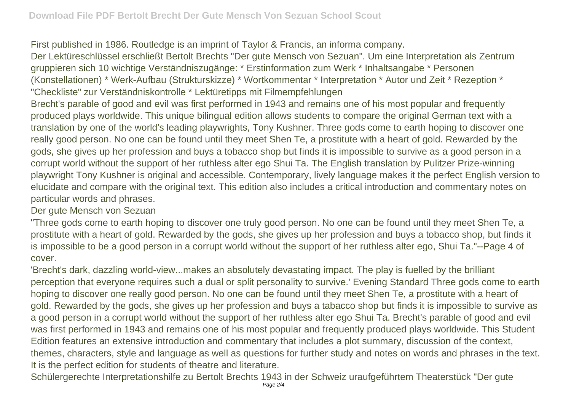First published in 1986. Routledge is an imprint of Taylor & Francis, an informa company.

Der Lektüreschlüssel erschließt Bertolt Brechts "Der gute Mensch von Sezuan". Um eine Interpretation als Zentrum gruppieren sich 10 wichtige Verständniszugänge: \* Erstinformation zum Werk \* Inhaltsangabe \* Personen (Konstellationen) \* Werk-Aufbau (Strukturskizze) \* Wortkommentar \* Interpretation \* Autor und Zeit \* Rezeption \* "Checkliste" zur Verständniskontrolle \* Lektüretipps mit Filmempfehlungen

Brecht's parable of good and evil was first performed in 1943 and remains one of his most popular and frequently produced plays worldwide. This unique bilingual edition allows students to compare the original German text with a translation by one of the world's leading playwrights, Tony Kushner. Three gods come to earth hoping to discover one really good person. No one can be found until they meet Shen Te, a prostitute with a heart of gold. Rewarded by the gods, she gives up her profession and buys a tobacco shop but finds it is impossible to survive as a good person in a corrupt world without the support of her ruthless alter ego Shui Ta. The English translation by Pulitzer Prize-winning playwright Tony Kushner is original and accessible. Contemporary, lively language makes it the perfect English version to elucidate and compare with the original text. This edition also includes a critical introduction and commentary notes on particular words and phrases.

Der gute Mensch von Sezuan

"Three gods come to earth hoping to discover one truly good person. No one can be found until they meet Shen Te, a prostitute with a heart of gold. Rewarded by the gods, she gives up her profession and buys a tobacco shop, but finds it is impossible to be a good person in a corrupt world without the support of her ruthless alter ego, Shui Ta."--Page 4 of cover.

'Brecht's dark, dazzling world-view...makes an absolutely devastating impact. The play is fuelled by the brilliant perception that everyone requires such a dual or split personality to survive.' Evening Standard Three gods come to earth hoping to discover one really good person. No one can be found until they meet Shen Te, a prostitute with a heart of gold. Rewarded by the gods, she gives up her profession and buys a tabacco shop but finds it is impossible to survive as a good person in a corrupt world without the support of her ruthless alter ego Shui Ta. Brecht's parable of good and evil was first performed in 1943 and remains one of his most popular and frequently produced plays worldwide. This Student Edition features an extensive introduction and commentary that includes a plot summary, discussion of the context, themes, characters, style and language as well as questions for further study and notes on words and phrases in the text. It is the perfect edition for students of theatre and literature.

Schülergerechte Interpretationshilfe zu Bertolt Brechts 1943 in der Schweiz uraufgeführtem Theaterstück "Der gute Page 2/4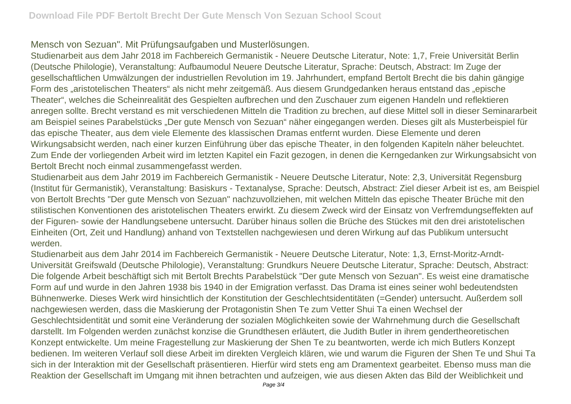Mensch von Sezuan". Mit Prüfungsaufgaben und Musterlösungen.

Studienarbeit aus dem Jahr 2018 im Fachbereich Germanistik - Neuere Deutsche Literatur, Note: 1,7, Freie Universität Berlin (Deutsche Philologie), Veranstaltung: Aufbaumodul Neuere Deutsche Literatur, Sprache: Deutsch, Abstract: Im Zuge der gesellschaftlichen Umwälzungen der industriellen Revolution im 19. Jahrhundert, empfand Bertolt Brecht die bis dahin gängige Form des "aristotelischen Theaters" als nicht mehr zeitgemäß. Aus diesem Grundgedanken heraus entstand das "epische Theater", welches die Scheinrealität des Gespielten aufbrechen und den Zuschauer zum eigenen Handeln und reflektieren anregen sollte. Brecht verstand es mit verschiedenen Mitteln die Tradition zu brechen, auf diese Mittel soll in dieser Seminararbeit am Beispiel seines Parabelstücks "Der gute Mensch von Sezuan" näher eingegangen werden. Dieses gilt als Musterbeispiel für das epische Theater, aus dem viele Elemente des klassischen Dramas entfernt wurden. Diese Elemente und deren Wirkungsabsicht werden, nach einer kurzen Einführung über das epische Theater, in den folgenden Kapiteln näher beleuchtet. Zum Ende der vorliegenden Arbeit wird im letzten Kapitel ein Fazit gezogen, in denen die Kerngedanken zur Wirkungsabsicht von Bertolt Brecht noch einmal zusammengefasst werden.

Studienarbeit aus dem Jahr 2019 im Fachbereich Germanistik - Neuere Deutsche Literatur, Note: 2,3, Universität Regensburg (Institut für Germanistik), Veranstaltung: Basiskurs - Textanalyse, Sprache: Deutsch, Abstract: Ziel dieser Arbeit ist es, am Beispiel von Bertolt Brechts "Der gute Mensch von Sezuan" nachzuvollziehen, mit welchen Mitteln das epische Theater Brüche mit den stilistischen Konventionen des aristotelischen Theaters erwirkt. Zu diesem Zweck wird der Einsatz von Verfremdungseffekten auf der Figuren- sowie der Handlungsebene untersucht. Darüber hinaus sollen die Brüche des Stückes mit den drei aristotelischen Einheiten (Ort, Zeit und Handlung) anhand von Textstellen nachgewiesen und deren Wirkung auf das Publikum untersucht werden.

Studienarbeit aus dem Jahr 2014 im Fachbereich Germanistik - Neuere Deutsche Literatur, Note: 1,3, Ernst-Moritz-Arndt-Universität Greifswald (Deutsche Philologie), Veranstaltung: Grundkurs Neuere Deutsche Literatur, Sprache: Deutsch, Abstract: Die folgende Arbeit beschäftigt sich mit Bertolt Brechts Parabelstück "Der gute Mensch von Sezuan". Es weist eine dramatische Form auf und wurde in den Jahren 1938 bis 1940 in der Emigration verfasst. Das Drama ist eines seiner wohl bedeutendsten Bühnenwerke. Dieses Werk wird hinsichtlich der Konstitution der Geschlechtsidentitäten (=Gender) untersucht. Außerdem soll nachgewiesen werden, dass die Maskierung der Protagonistin Shen Te zum Vetter Shui Ta einen Wechsel der Geschlechtsidentität und somit eine Veränderung der sozialen Möglichkeiten sowie der Wahrnehmung durch die Gesellschaft darstellt. Im Folgenden werden zunächst konzise die Grundthesen erläutert, die Judith Butler in ihrem gendertheoretischen Konzept entwickelte. Um meine Fragestellung zur Maskierung der Shen Te zu beantworten, werde ich mich Butlers Konzept bedienen. Im weiteren Verlauf soll diese Arbeit im direkten Vergleich klären, wie und warum die Figuren der Shen Te und Shui Ta sich in der Interaktion mit der Gesellschaft präsentieren. Hierfür wird stets eng am Dramentext gearbeitet. Ebenso muss man die Reaktion der Gesellschaft im Umgang mit ihnen betrachten und aufzeigen, wie aus diesen Akten das Bild der Weiblichkeit und